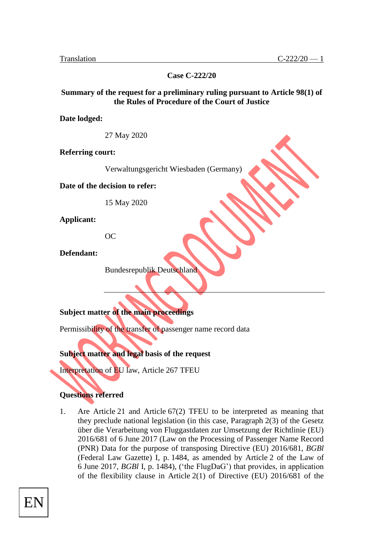**Case C-222/20**

#### **Summary of the request for a preliminary ruling pursuant to Article 98(1) of the Rules of Procedure of the Court of Justice**

**Date lodged:**

27 May 2020

**Referring court:**

Verwaltungsgericht Wiesbaden (Germany)

**Date of the decision to refer:**

15 May 2020

**Applicant:**

OC

**Defendant:**

Bundesrepublik Deutschland

**Subject matter of the main proceedings**

Permissibility of the transfer of passenger name record data

**Subject matter and legal basis of the request**

Interpretation of EU law, Article 267 TFEU

### **Questions referred**

1. Are Article 21 and Article 67(2) TFEU to be interpreted as meaning that they preclude national legislation (in this case, Paragraph 2(3) of the Gesetz über die Verarbeitung von Fluggastdaten zur Umsetzung der Richtlinie (EU) 2016/681 of 6 June 2017 (Law on the Processing of Passenger Name Record (PNR) Data for the purpose of transposing Directive (EU) 2016/681, *BGBl*  (Federal Law Gazette) I, p. 1484, as amended by Article 2 of the Law of 6 June 2017, *BGBl* I, p. 1484), ('the FlugDaG') that provides, in application of the flexibility clause in Article 2(1) of Directive (EU) 2016/681 of the

EN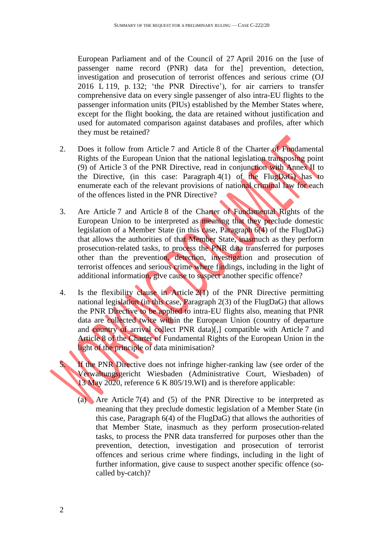European Parliament and of the Council of 27 April 2016 on the [use of passenger name record (PNR) data for the] prevention, detection, investigation and prosecution of terrorist offences and serious crime (OJ 2016 L 119, p. 132; 'the PNR Directive'), for air carriers to transfer comprehensive data on every single passenger of also intra-EU flights to the passenger information units (PIUs) established by the Member States where, except for the flight booking, the data are retained without justification and used for automated comparison against databases and profiles, after which they must be retained?

- 2. Does it follow from Article 7 and Article 8 of the Charter of Fundamental Rights of the European Union that the national legislation transposing point (9) of Article 3 of the PNR Directive, read in conjunction with Annex II to the Directive, (in this case: Paragraph 4(1) of the FlugDaG) has to enumerate each of the relevant provisions of national criminal law for each of the offences listed in the PNR Directive?
- 3. Are Article 7 and Article 8 of the Charter of Fundamental Rights of the European Union to be interpreted as meaning that they preclude domestic legislation of a Member State (in this case, Paragraph 6(4) of the FlugDaG) that allows the authorities of that Member State, inasmuch as they perform prosecution-related tasks, to process the PNR data transferred for purposes other than the prevention, detection, investigation and prosecution of terrorist offences and serious crime where findings, including in the light of additional information, give cause to suspect another specific offence?
- 4. Is the flexibility clause in Article 2(1) of the PNR Directive permitting national legislation (in this case, Paragraph 2(3) of the FlugDaG) that allows the PNR Directive to be applied to intra-EU flights also, meaning that PNR data are collected twice within the European Union (country of departure and country of arrival collect PNR data)[,] compatible with Article 7 and Article 8 of the Charter of Fundamental Rights of the European Union in the light of the principle of data minimisation?

If the PNR Directive does not infringe higher-ranking law (see order of the Verwaltungsgericht Wiesbaden (Administrative Court, Wiesbaden) of 13 May 2020, reference 6 K 805/19.WI) and is therefore applicable:

(a) Are Article 7(4) and (5) of the PNR Directive to be interpreted as meaning that they preclude domestic legislation of a Member State (in this case, Paragraph 6(4) of the FlugDaG) that allows the authorities of that Member State, inasmuch as they perform prosecution-related tasks, to process the PNR data transferred for purposes other than the prevention, detection, investigation and prosecution of terrorist offences and serious crime where findings, including in the light of further information, give cause to suspect another specific offence (socalled by-catch)?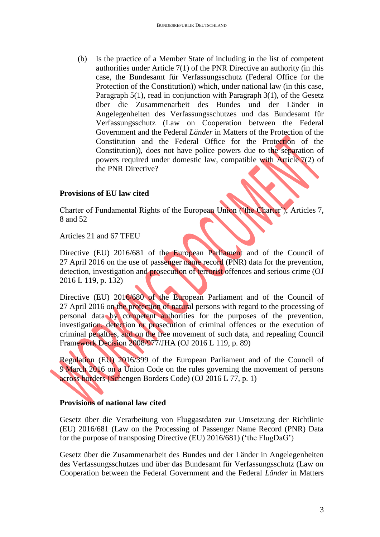(b) Is the practice of a Member State of including in the list of competent authorities under Article 7(1) of the PNR Directive an authority (in this case, the Bundesamt für Verfassungsschutz (Federal Office for the Protection of the Constitution)) which, under national law (in this case, Paragraph 5(1), read in conjunction with Paragraph 3(1), of the Gesetz über die Zusammenarbeit des Bundes und der Länder in Angelegenheiten des Verfassungsschutzes und das Bundesamt für Verfassungsschutz (Law on Cooperation between the Federal Government and the Federal *Länder* in Matters of the Protection of the Constitution and the Federal Office for the Protection of the Constitution)), does not have police powers due to the separation of powers required under domestic law, compatible with Article 7(2) of the PNR Directive?

### **Provisions of EU law cited**

Charter of Fundamental Rights of the European Union ('the Charter'), Articles 7, 8 and 52

Articles 21 and 67 TFEU

Directive (EU) 2016/681 of the European Parliament and of the Council of 27 April 2016 on the use of passenger name record (PNR) data for the prevention, detection, investigation and prosecution of terrorist offences and serious crime (OJ 2016 L 119, p. 132)

Directive (EU) 2016/680 of the European Parliament and of the Council of 27 April 2016 on the protection of natural persons with regard to the processing of personal data by competent authorities for the purposes of the prevention, investigation, detection or prosecution of criminal offences or the execution of criminal penalties, and on the free movement of such data, and repealing Council Framework Decision 2008/977/JHA (OJ 2016 L 119, p. 89)

Regulation (EU) 2016/399 of the European Parliament and of the Council of 9 March 2016 on a Union Code on the rules governing the movement of persons across borders (Schengen Borders Code) (OJ 2016 L 77, p. 1)

# **Provisions of national law cited**

Gesetz über die Verarbeitung von Fluggastdaten zur Umsetzung der Richtlinie (EU) 2016/681 (Law on the Processing of Passenger Name Record (PNR) Data for the purpose of transposing Directive (EU) 2016/681) ('the FlugDaG')

Gesetz über die Zusammenarbeit des Bundes und der Länder in Angelegenheiten des Verfassungsschutzes und über das Bundesamt für Verfassungsschutz (Law on Cooperation between the Federal Government and the Federal *Länder* in Matters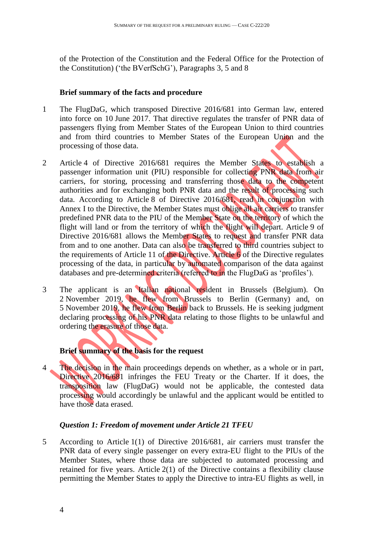of the Protection of the Constitution and the Federal Office for the Protection of the Constitution) ('the BVerfSchG'), Paragraphs 3, 5 and 8

#### **Brief summary of the facts and procedure**

- 1 The FlugDaG, which transposed Directive 2016/681 into German law, entered into force on 10 June 2017. That directive regulates the transfer of PNR data of passengers flying from Member States of the European Union to third countries and from third countries to Member States of the European Union and the processing of those data.
- 2 Article 4 of Directive 2016/681 requires the Member States to establish a passenger information unit (PIU) responsible for collecting PNR data from air carriers, for storing, processing and transferring those data to the competent authorities and for exchanging both PNR data and the result of processing such data. According to Article 8 of Directive 2016/681, read in conjunction with Annex I to the Directive, the Member States must oblige all air carriers to transfer predefined PNR data to the PIU of the Member State on the territory of which the flight will land or from the territory of which the flight will depart. Article 9 of Directive 2016/681 allows the Member States to request and transfer PNR data from and to one another. Data can also be transferred to third countries subject to the requirements of Article 11 of the Directive. Article 6 of the Directive regulates processing of the data, in particular by automated comparison of the data against databases and pre-determined criteria (referred to in the FlugDaG as 'profiles').
- 3 The applicant is an Italian national resident in Brussels (Belgium). On 2 November 2019, he flew from Brussels to Berlin (Germany) and, on 5 November 2019, he flew from Berlin back to Brussels. He is seeking judgment declaring processing of his PNR data relating to those flights to be unlawful and ordering the erasure of those data.

### **Brief summary of the basis for the request**

4 The decision in the main proceedings depends on whether, as a whole or in part, Directive 2016/681 infringes the FEU Treaty or the Charter. If it does, the transposition law (FlugDaG) would not be applicable, the contested data processing would accordingly be unlawful and the applicant would be entitled to have those data erased.

### *Question 1: Freedom of movement under Article 21 TFEU*

5 According to Article 1(1) of Directive 2016/681, air carriers must transfer the PNR data of every single passenger on every extra-EU flight to the PIUs of the Member States, where those data are subjected to automated processing and retained for five years. Article 2(1) of the Directive contains a flexibility clause permitting the Member States to apply the Directive to intra-EU flights as well, in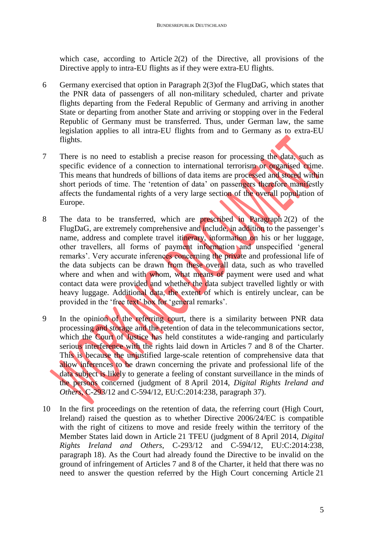which case, according to Article 2(2) of the Directive, all provisions of the Directive apply to intra-EU flights as if they were extra-EU flights.

- 6 Germany exercised that option in Paragraph 2(3)of the FlugDaG, which states that the PNR data of passengers of all non-military scheduled, charter and private flights departing from the Federal Republic of Germany and arriving in another State or departing from another State and arriving or stopping over in the Federal Republic of Germany must be transferred. Thus, under German law, the same legislation applies to all intra-EU flights from and to Germany as to extra-EU flights.
- 7 There is no need to establish a precise reason for processing the data, such as specific evidence of a connection to international terrorism or organised crime. This means that hundreds of billions of data items are processed and stored within short periods of time. The 'retention of data' on passengers therefore manifestly affects the fundamental rights of a very large section of the overall population of Europe.
- 8 The data to be transferred, which are prescribed in Paragraph 2(2) of the FlugDaG, are extremely comprehensive and include, in addition to the passenger's name, address and complete travel itinerary, information on his or her luggage, other travellers, all forms of payment information and unspecified 'general remarks'. Very accurate inferences concerning the private and professional life of the data subjects can be drawn from these overall data, such as who travelled where and when and with whom, what means of payment were used and what contact data were provided and whether the data subject travelled lightly or with heavy luggage. Additional data, the extent of which is entirely unclear, can be provided in the 'free text' box for 'general remarks'.
- 9 In the opinion of the referring court, there is a similarity between PNR data processing and storage and the retention of data in the telecommunications sector, which the Court of Justice has held constitutes a wide-ranging and particularly serious interference with the rights laid down in Articles 7 and 8 of the Charter. This is because the unjustified large-scale retention of comprehensive data that allow inferences to be drawn concerning the private and professional life of the data subject is likely to generate a feeling of constant surveillance in the minds of the persons concerned (judgment of 8 April 2014, *Digital Rights Ireland and Others*, C-293/12 and C-594/12, EU:C:2014:238, paragraph 37).
- 10 In the first proceedings on the retention of data, the referring court (High Court, Ireland) raised the question as to whether Directive 2006/24/EC is compatible with the right of citizens to move and reside freely within the territory of the Member States laid down in Article 21 TFEU (judgment of 8 April 2014, *Digital Rights Ireland and Others*, C-293/12 and C-594/12, EU:C:2014:238, paragraph 18). As the Court had already found the Directive to be invalid on the ground of infringement of Articles 7 and 8 of the Charter, it held that there was no need to answer the question referred by the High Court concerning Article 21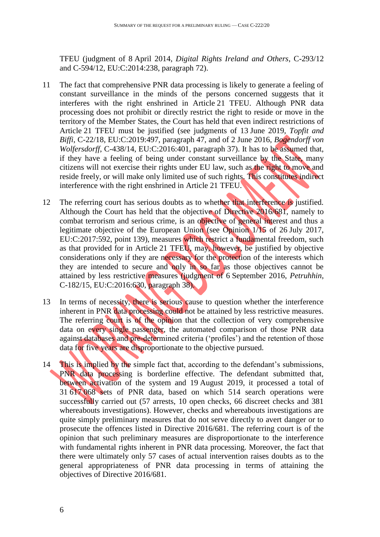TFEU (judgment of 8 April 2014, *Digital Rights Ireland and Others*, C-293/12 and C-594/12, EU:C:2014:238, paragraph 72).

- 11 The fact that comprehensive PNR data processing is likely to generate a feeling of constant surveillance in the minds of the persons concerned suggests that it interferes with the right enshrined in Article 21 TFEU. Although PNR data processing does not prohibit or directly restrict the right to reside or move in the territory of the Member States, the Court has held that even indirect restrictions of Article 21 TFEU must be justified (see judgments of 13 June 2019, *Topfit and Biffi*, C-22/18, EU:C:2019:497, paragraph 47, and of 2 June 2016, *Bogendorff von Wolfersdorff*, C-438/14, EU:C:2016:401, paragraph 37). It has to be assumed that, if they have a feeling of being under constant surveillance by the State, many citizens will not exercise their rights under EU law, such as the right to move and reside freely, or will make only limited use of such rights. This constitutes indirect interference with the right enshrined in Article 21 TFEU.
- 12 The referring court has serious doubts as to whether that interference is justified. Although the Court has held that the objective of Directive 2016/681, namely to combat terrorism and serious crime, is an objective of general interest and thus a legitimate objective of the European Union (see Opinion 1/15 of 26 July 2017, EU:C:2017:592, point 139), measures which restrict a fundamental freedom, such as that provided for in Article 21 TFEU, may, however, be justified by objective considerations only if they are necessary for the protection of the interests which they are intended to secure and only in so far as those objectives cannot be attained by less restrictive measures (judgment of 6 September 2016, *Petruhhin*, C-182/15, EU:C:2016:630, paragraph 38).
- 13 In terms of necessity, there is serious cause to question whether the interference inherent in PNR data processing could not be attained by less restrictive measures. The referring court is of the opinion that the collection of very comprehensive data on every single passenger, the automated comparison of those PNR data against databases and pre-determined criteria ('profiles') and the retention of those data for five years are disproportionate to the objective pursued.
- 14 This is implied by the simple fact that, according to the defendant's submissions, PNR data processing is borderline effective. The defendant submitted that, between activation of the system and 19 August 2019, it processed a total of 31 617 068 sets of PNR data, based on which 514 search operations were successfully carried out (57 arrests, 10 open checks, 66 discreet checks and 381 whereabouts investigations). However, checks and whereabouts investigations are quite simply preliminary measures that do not serve directly to avert danger or to prosecute the offences listed in Directive 2016/681. The referring court is of the opinion that such preliminary measures are disproportionate to the interference with fundamental rights inherent in PNR data processing. Moreover, the fact that there were ultimately only 57 cases of actual intervention raises doubts as to the general appropriateness of PNR data processing in terms of attaining the objectives of Directive 2016/681.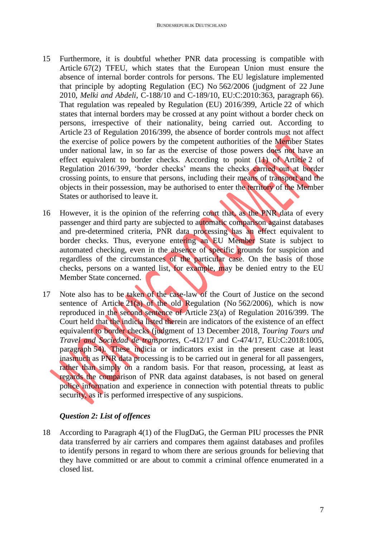- 15 Furthermore, it is doubtful whether PNR data processing is compatible with Article 67(2) TFEU, which states that the European Union must ensure the absence of internal border controls for persons. The EU legislature implemented that principle by adopting Regulation (EC) No 562/2006 (judgment of 22 June 2010, *Melki and Abdeli*, C-188/10 and C-189/10, EU:C:2010:363, paragraph 66). That regulation was repealed by Regulation (EU) 2016/399, Article 22 of which states that internal borders may be crossed at any point without a border check on persons, irrespective of their nationality, being carried out. According to Article 23 of Regulation 2016/399, the absence of border controls must not affect the exercise of police powers by the competent authorities of the Member States under national law, in so far as the exercise of those powers does not have an effect equivalent to border checks. According to point (11) of Article 2 of Regulation 2016/399, 'border checks' means the checks carried out at border crossing points, to ensure that persons, including their means of transport and the objects in their possession, may be authorised to enter the territory of the Member States or authorised to leave it.
- 16 However, it is the opinion of the referring court that, as the PNR data of every passenger and third party are subjected to automatic comparison against databases and pre-determined criteria, PNR data processing has an effect equivalent to border checks. Thus, everyone entering an EU Member State is subject to automated checking, even in the absence of specific grounds for suspicion and regardless of the circumstances of the particular case. On the basis of those checks, persons on a wanted list, for example, may be denied entry to the EU Member State concerned.
- 17 Note also has to be taken of the case-law of the Court of Justice on the second sentence of Article 21(a) of the old Regulation (No 562/2006), which is now reproduced in the second sentence of Article 23(a) of Regulation 2016/399. The Court held that the indicia listed therein are indicators of the existence of an effect equivalent to border checks (judgment of 13 December 2018, *Touring Tours und Travel and Sociedad de transportes*, C-412/17 and C-474/17, EU:C:2018:1005, paragraph 54). These indicia or indicators exist in the present case at least inasmuch as PNR data processing is to be carried out in general for all passengers, rather than simply on a random basis. For that reason, processing, at least as regards the comparison of PNR data against databases, is not based on general police information and experience in connection with potential threats to public security, as it is performed irrespective of any suspicions.

# *Question 2: List of offences*

18 According to Paragraph 4(1) of the FlugDaG, the German PIU processes the PNR data transferred by air carriers and compares them against databases and profiles to identify persons in regard to whom there are serious grounds for believing that they have committed or are about to commit a criminal offence enumerated in a closed list.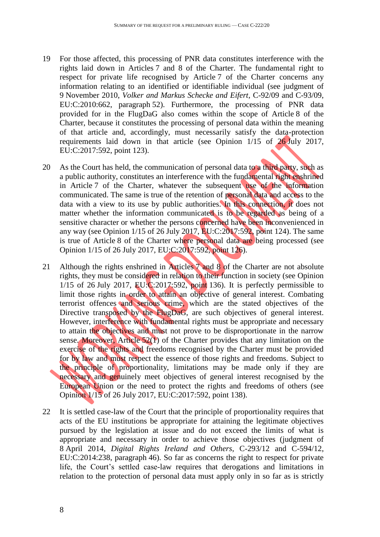- 19 For those affected, this processing of PNR data constitutes interference with the rights laid down in Articles 7 and 8 of the Charter. The fundamental right to respect for private life recognised by Article 7 of the Charter concerns any information relating to an identified or identifiable individual (see judgment of 9 November 2010, *Volker and Markus Schecke and Eifert*, C-92/09 and C-93/09, EU:C:2010:662, paragraph 52). Furthermore, the processing of PNR data provided for in the FlugDaG also comes within the scope of Article 8 of the Charter, because it constitutes the processing of personal data within the meaning of that article and, accordingly, must necessarily satisfy the data-protection requirements laid down in that article (see Opinion 1/15 of 26 July 2017, EU:C:2017:592, point 123).
- 20 As the Court has held, the communication of personal data to a third party, such as a public authority, constitutes an interference with the fundamental right enshrined in Article 7 of the Charter, whatever the subsequent use of the information communicated. The same is true of the retention of personal data and access to the data with a view to its use by public authorities. In this connection, it does not matter whether the information communicated is to be regarded as being of a sensitive character or whether the persons concerned have been inconvenienced in any way (see Opinion 1/15 of 26 July 2017, EU:C:2017:592, point 124). The same is true of Article 8 of the Charter where personal data are being processed (see Opinion 1/15 of 26 July 2017, EU:C:2017:592, point 126).
- 21 Although the rights enshrined in Articles 7 and 8 of the Charter are not absolute rights, they must be considered in relation to their function in society (see Opinion  $1/15$  of 26 July 2017, EU:C:2017:592, point 136). It is perfectly permissible to limit those rights in order to attain an objective of general interest. Combating terrorist offences and serious crime, which are the stated objectives of the Directive transposed by the FlugDaG, are such objectives of general interest. However, interference with fundamental rights must be appropriate and necessary to attain the objectives and must not prove to be disproportionate in the narrow sense. Moreover, Article 52(1) of the Charter provides that any limitation on the exercise of the rights and freedoms recognised by the Charter must be provided for by law and must respect the essence of those rights and freedoms. Subject to the principle of proportionality, limitations may be made only if they are necessary and genuinely meet objectives of general interest recognised by the European Union or the need to protect the rights and freedoms of others (see Opinion 1/15 of 26 July 2017, EU:C:2017:592, point 138).
- 22 It is settled case-law of the Court that the principle of proportionality requires that acts of the EU institutions be appropriate for attaining the legitimate objectives pursued by the legislation at issue and do not exceed the limits of what is appropriate and necessary in order to achieve those objectives (judgment of 8 April 2014, *Digital Rights Ireland and Others*, C-293/12 and C-594/12, EU:C:2014:238, paragraph 46). So far as concerns the right to respect for private life, the Court's settled case-law requires that derogations and limitations in relation to the protection of personal data must apply only in so far as is strictly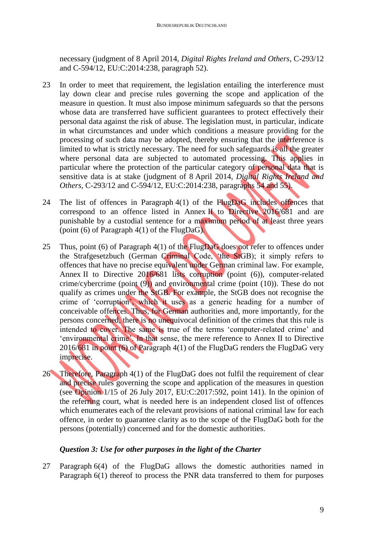necessary (judgment of 8 April 2014, *Digital Rights Ireland and Others*, C-293/12 and C-594/12, EU:C:2014:238, paragraph 52).

- 23 In order to meet that requirement, the legislation entailing the interference must lay down clear and precise rules governing the scope and application of the measure in question. It must also impose minimum safeguards so that the persons whose data are transferred have sufficient guarantees to protect effectively their personal data against the risk of abuse. The legislation must, in particular, indicate in what circumstances and under which conditions a measure providing for the processing of such data may be adopted, thereby ensuring that the interference is limited to what is strictly necessary. The need for such safeguards is all the greater where personal data are subjected to automated processing. This applies in particular where the protection of the particular category of personal data that is sensitive data is at stake (judgment of 8 April 2014, *Digital Rights Ireland and Others*, C-293/12 and C-594/12, EU:C:2014:238, paragraphs 54 and 55).
- 24 The list of offences in Paragraph 4(1) of the FlugDaG includes offences that correspond to an offence listed in Annex II to Directive 2016/681 and are punishable by a custodial sentence for a maximum period of at least three years (point  $(6)$  of Paragraph  $4(1)$  of the FlugDaG).
- 25 Thus, point (6) of Paragraph 4(1) of the FlugDaG does not refer to offences under the Strafgesetzbuch (German Criminal Code, 'the StGB); it simply refers to offences that have no precise equivalent under German criminal law. For example, Annex II to Directive 2016/681 lists corruption (point (6)), computer-related crime/cybercrime (point  $(9)$ ) and environmental crime (point  $(10)$ ). These do not qualify as crimes under the StGB. For example, the StGB does not recognise the crime of 'corruption', which it uses as a generic heading for a number of conceivable offences. Thus, for German authorities and, more importantly, for the persons concerned, there is no unequivocal definition of the crimes that this rule is intended to cover. The same is true of the terms 'computer-related crime' and 'environmental crime'. In that sense, the mere reference to Annex II to Directive 2016/681 in point (6) of Paragraph 4(1) of the FlugDaG renders the FlugDaG very imprecise.
- 26 Therefore, Paragraph 4(1) of the FlugDaG does not fulfil the requirement of clear and precise rules governing the scope and application of the measures in question (see Opinion 1/15 of 26 July 2017, EU:C:2017:592, point 141). In the opinion of the referring court, what is needed here is an independent closed list of offences which enumerates each of the relevant provisions of national criminal law for each offence, in order to guarantee clarity as to the scope of the FlugDaG both for the persons (potentially) concerned and for the domestic authorities.

### *Question 3: Use for other purposes in the light of the Charter*

27 Paragraph 6(4) of the FlugDaG allows the domestic authorities named in Paragraph 6(1) thereof to process the PNR data transferred to them for purposes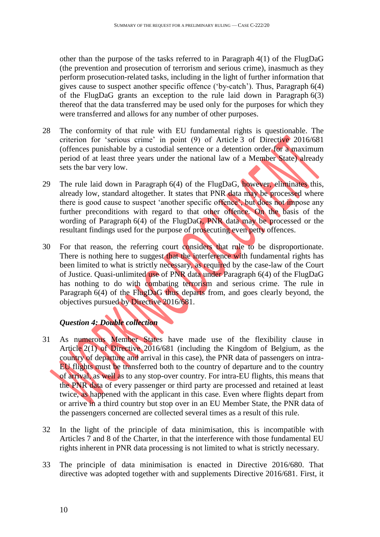other than the purpose of the tasks referred to in Paragraph 4(1) of the FlugDaG (the prevention and prosecution of terrorism and serious crime), inasmuch as they perform prosecution-related tasks, including in the light of further information that gives cause to suspect another specific offence ('by-catch'). Thus, Paragraph 6(4) of the FlugDaG grants an exception to the rule laid down in Paragraph 6(3) thereof that the data transferred may be used only for the purposes for which they were transferred and allows for any number of other purposes.

- 28 The conformity of that rule with EU fundamental rights is questionable. The criterion for 'serious crime' in point (9) of Article 3 of Directive 2016/681 (offences punishable by a custodial sentence or a detention order for a maximum period of at least three years under the national law of a Member State) already sets the bar very low.
- 29 The rule laid down in Paragraph 6(4) of the FlugDaG, however, eliminates this, already low, standard altogether. It states that PNR data may be processed where there is good cause to suspect 'another specific offence', but does not impose any further preconditions with regard to that other offence. On the basis of the wording of Paragraph 6(4) of the FlugDaG, PNR data may be processed or the resultant findings used for the purpose of prosecuting even petty offences.
- 30 For that reason, the referring court considers that rule to be disproportionate. There is nothing here to suggest that the interference with fundamental rights has been limited to what is strictly necessary, as required by the case-law of the Court of Justice. Quasi-unlimited use of PNR data under Paragraph 6(4) of the FlugDaG has nothing to do with combating terrorism and serious crime. The rule in Paragraph 6(4) of the FlugDaG thus departs from, and goes clearly beyond, the objectives pursued by Directive 2016/681.

# *Question 4: Double collection*

- 31 As numerous Member States have made use of the flexibility clause in Article 2(1) of Directive 2016/681 (including the Kingdom of Belgium, as the country of departure and arrival in this case), the PNR data of passengers on intra-EU flights must be transferred both to the country of departure and to the country of arrival, as well as to any stop-over country. For intra-EU flights, this means that the PNR data of every passenger or third party are processed and retained at least twice, as happened with the applicant in this case. Even where flights depart from or arrive in a third country but stop over in an EU Member State, the PNR data of the passengers concerned are collected several times as a result of this rule.
- 32 In the light of the principle of data minimisation, this is incompatible with Articles 7 and 8 of the Charter, in that the interference with those fundamental EU rights inherent in PNR data processing is not limited to what is strictly necessary.
- 33 The principle of data minimisation is enacted in Directive 2016/680. That directive was adopted together with and supplements Directive 2016/681. First, it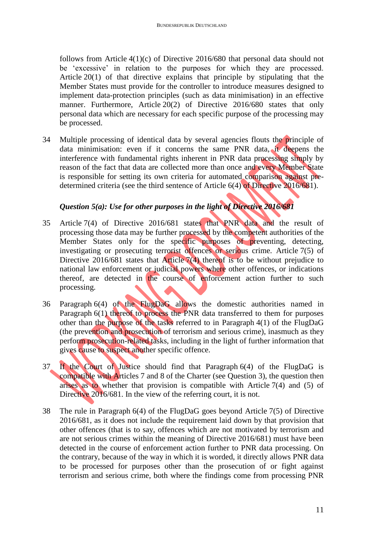follows from Article 4(1)(c) of Directive 2016/680 that personal data should not be 'excessive' in relation to the purposes for which they are processed. Article 20(1) of that directive explains that principle by stipulating that the Member States must provide for the controller to introduce measures designed to implement data-protection principles (such as data minimisation) in an effective manner. Furthermore, Article 20(2) of Directive 2016/680 states that only personal data which are necessary for each specific purpose of the processing may be processed.

34 Multiple processing of identical data by several agencies flouts the principle of data minimisation: even if it concerns the same PNR data, it deepens the interference with fundamental rights inherent in PNR data processing simply by reason of the fact that data are collected more than once and every Member State is responsible for setting its own criteria for automated comparison against predetermined criteria (see the third sentence of Article 6(4) of Directive 2016/681).

# *Question 5(a): Use for other purposes in the light of Directive 2016/681*

- 35 Article 7(4) of Directive 2016/681 states that PNR data and the result of processing those data may be further processed by the competent authorities of the Member States only for the specific purposes of preventing, detecting, investigating or prosecuting terrorist offences or serious crime. Article 7(5) of Directive 2016/681 states that Article 7(4) thereof is to be without prejudice to national law enforcement or judicial powers where other offences, or indications thereof, are detected in the course of enforcement action further to such processing.
- 36 Paragraph 6(4) of the FlugDaG allows the domestic authorities named in Paragraph 6(1) thereof to process the PNR data transferred to them for purposes other than the purpose of the tasks referred to in Paragraph 4(1) of the FlugDaG (the prevention and prosecution of terrorism and serious crime), inasmuch as they perform prosecution-related tasks, including in the light of further information that gives cause to suspect another specific offence.
- 37 If the Court of Justice should find that Paragraph 6(4) of the FlugDaG is compatible with Articles 7 and 8 of the Charter (see Question 3), the question then arises as to whether that provision is compatible with Article 7(4) and (5) of Directive 2016/681. In the view of the referring court, it is not.
- 38 The rule in Paragraph 6(4) of the FlugDaG goes beyond Article 7(5) of Directive 2016/681, as it does not include the requirement laid down by that provision that other offences (that is to say, offences which are not motivated by terrorism and are not serious crimes within the meaning of Directive 2016/681) must have been detected in the course of enforcement action further to PNR data processing. On the contrary, because of the way in which it is worded, it directly allows PNR data to be processed for purposes other than the prosecution of or fight against terrorism and serious crime, both where the findings come from processing PNR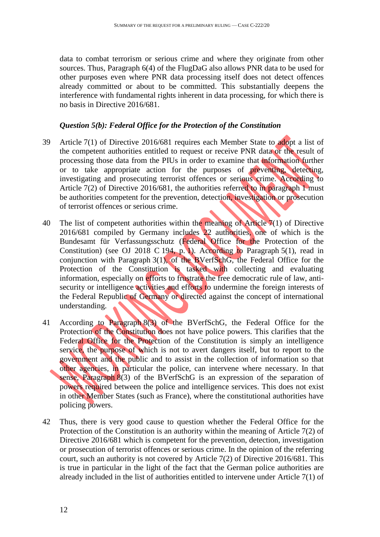data to combat terrorism or serious crime and where they originate from other sources. Thus, Paragraph 6(4) of the FlugDaG also allows PNR data to be used for other purposes even where PNR data processing itself does not detect offences already committed or about to be committed. This substantially deepens the interference with fundamental rights inherent in data processing, for which there is no basis in Directive 2016/681.

### *Question 5(b): Federal Office for the Protection of the Constitution*

- 39 Article 7(1) of Directive 2016/681 requires each Member State to adopt a list of the competent authorities entitled to request or receive PNR data or the result of processing those data from the PIUs in order to examine that information further or to take appropriate action for the purposes of preventing, detecting, investigating and prosecuting terrorist offences or serious crime. According to Article 7(2) of Directive 2016/681, the authorities referred to in paragraph 1 must be authorities competent for the prevention, detection, investigation or prosecution of terrorist offences or serious crime.
- 40 The list of competent authorities within the meaning of Article 7(1) of Directive 2016/681 compiled by Germany includes 22 authorities, one of which is the Bundesamt für Verfassungsschutz (Federal Office for the Protection of the Constitution) (see OJ 2018 C 194, p. 1). According to Paragraph 5(1), read in conjunction with Paragraph 3(1), of the BVerfSchG, the Federal Office for the Protection of the Constitution is tasked with collecting and evaluating information, especially on efforts to frustrate the free democratic rule of law, antisecurity or intelligence activities and efforts to undermine the foreign interests of the Federal Republic of Germany or directed against the concept of international understanding.
- 41 According to Paragraph 8(3) of the BVerfSchG, the Federal Office for the Protection of the Constitution does not have police powers. This clarifies that the Federal Office for the Protection of the Constitution is simply an intelligence service, the purpose of which is not to avert dangers itself, but to report to the government and the public and to assist in the collection of information so that other agencies, in particular the police, can intervene where necessary. In that sense, Paragraph 8(3) of the BVerfSchG is an expression of the separation of powers required between the police and intelligence services. This does not exist in other Member States (such as France), where the constitutional authorities have policing powers.
- 42 Thus, there is very good cause to question whether the Federal Office for the Protection of the Constitution is an authority within the meaning of Article 7(2) of Directive 2016/681 which is competent for the prevention, detection, investigation or prosecution of terrorist offences or serious crime. In the opinion of the referring court, such an authority is not covered by Article 7(2) of Directive 2016/681. This is true in particular in the light of the fact that the German police authorities are already included in the list of authorities entitled to intervene under Article 7(1) of